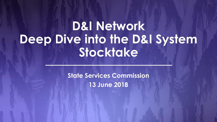# **D&I Network Deep Dive into the D&I System Stocktake**

**State Services Commission 13 June 2018**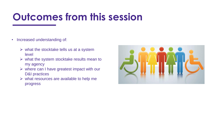# **Outcomes from this session**

- Increased understanding of:
	- $\triangleright$  what the stocktake tells us at a system level
	- $\triangleright$  what the system stocktake results mean to my agency
	- $\triangleright$  where can I have greatest impact with our D&I practices
	- $\triangleright$  what resources are available to help me progress

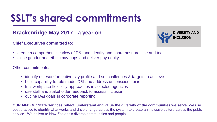# **SSLT's shared commitments**

#### **Brackenridge May 2017 - a year on**

#### **Chief Executives committed to:**



- create a comprehensive view of D&I and identify and share best practice and tools
- close gender and ethnic pay gaps and deliver pay equity

Other commitments:

- identify our workforce diversity profile and set challenges & targets to achieve
- build capability to role model D&I and address unconscious bias
- trial workplace flexibility approaches in selected agencies
- use staff and stakeholder feedback to assess inclusion
- outline D&I goals in corporate reporting

**OUR AIM: Our State Services reflect, understand and value the diversity of the communities we serve.** We use best practice to identify what works and drive change across the system to create an inclusive culture across the public service. We deliver to New Zealand's diverse communities and people.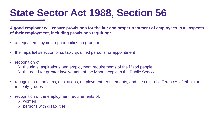## **State Sector Act 1988, Section 56**

**A good employer will ensure provisions for the fair and proper treatment of employees in all aspects of their employment, including provisions requiring:**

- an equal employment opportunities programme
- the impartial selection of suitably qualified persons for appointment
- recognition of:
	- $\triangleright$  the aims, aspirations and employment requirements of the Māori people
	- $\triangleright$  the need for greater involvement of the Māori people in the Public Service
- recognition of the aims, aspirations, employment requirements, and the cultural differences of ethnic or minority groups
- recognition of the employment requirements of:
	- women
	- $\triangleright$  persons with disabilities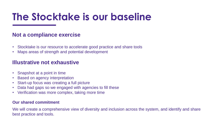# **The Stocktake is our baseline**

#### **Not a compliance exercise**

- Stocktake is our resource to accelerate good practice and share tools
- Maps areas of strength and potential development

#### **Illustrative not exhaustive**

- Snapshot at a point in time
- Based on agency interpretation
- Start-up focus was creating a full picture
- Data had gaps so we engaged with agencies to fill these
- Verification was more complex, taking more time

#### **Our shared commitment**

We will create a comprehensive view of diversity and inclusion across the system, and identify and share best practice and tools.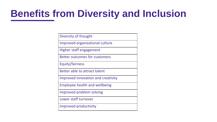# **Benefits from Diversity and Inclusion**

| Diversity of thought                 |
|--------------------------------------|
| Improved organisational culture      |
| Higher staff engagement              |
| <b>Better outcomes for customers</b> |
| <b>Equity/fairness</b>               |
| Better able to attract talent        |
| Improved innovation and creativity   |
| <b>Employee health and wellbeing</b> |
| Improved problem solving             |
| Lower staff turnover                 |
| Improved productivity                |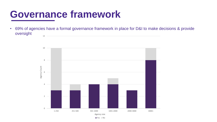#### **Governance framework**

• 69% of agencies have a formal governance framework in place for D&I to make decisions & provide oversight 12



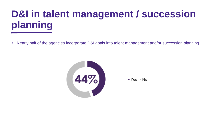# **D&I in talent management / succession planning**

• Nearly half of the agencies incorporate D&I goals into talent management and/or succession planning



 $Yes = No$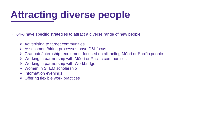# **Attracting diverse people**

- 64% have specific strategies to attract a diverse range of new people
	- $\triangleright$  Advertising to target communities
	- Assessment/hiring processes have D&I focus
	- Graduate/internship recruitment focused on attracting Māori or Pacific people
	- $\triangleright$  Working in partnership with Māori or Pacific communities
	- Working in partnership with Workbridge
	- $\triangleright$  Women in STEM scholarship
	- $\triangleright$  Information evenings
	- $\triangleright$  Offering flexible work practices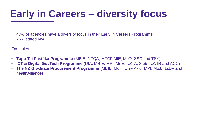# **Early in Careers – diversity focus**

- 47% of agencies have a diversity focus in their Early in Careers Programme
- 25% stated N/A

Examples:

- **Tupu Tai Pasifika Programme** (MBIE, NZQA, MFAT, MfE, MoD, SSC and TSY)
- **ICT & Digital GovTech Programme** (DIA, MBIE, MPI, MoE, NZTA, Stats NZ, IR and ACC)
- **The NZ Graduate Procurement Programme** (MBIE, MoH, Univ Akld, MPI, MoJ, NZDF and healthAlliance)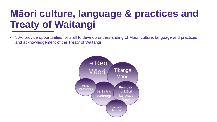# **Māori culture, language & practices and Treaty of Waitangi**

• 86% provide opportunities for staff to develop understanding of Māori culture, language and practices and acknowledgement of the Treaty of Waitangi

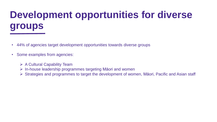# **Development opportunities for diverse groups**

- 44% of agencies target development opportunities towards diverse groups
- Some examples from agencies:
	- ▶ A Cultural Capability Team
	- $\triangleright$  In-house leadership programmes targeting Māori and women
	- Strategies and programmes to target the development of women, Māori, Pacific and Asian staff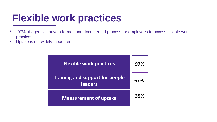# **Flexible work practices**

- 97% of agencies have a formal and documented process for employees to access flexible work practices
- Uptake is not widely measured

| <b>Flexible work practices</b>                           | 97% |
|----------------------------------------------------------|-----|
| <b>Training and support for people</b><br><b>leaders</b> | 67% |
| <b>Measurement of uptake</b>                             | 39% |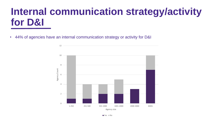## **Internal communication strategy/activity for D&I**

• 44% of agencies have an internal communication strategy or activity for D&I

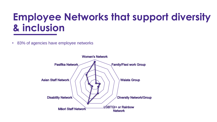## **Employee Networks that support diversity & inclusion**

• 83% of agencies have employee networks

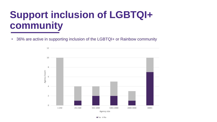## **Support inclusion of LGBTQI+ community**

• 36% are active in supporting inclusion of the LGBTQI+ or Rainbow community

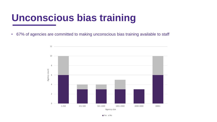## **Unconscious bias training**

• 67% of agencies are committed to making unconscious bias training available to staff

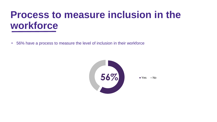#### **Process to measure inclusion in the workforce**

• 56% have a process to measure the level of inclusion in their workforce

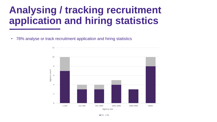# **Analysing / tracking recruitment application and hiring statistics**

• 78% analyse or track recruitment application and hiring statistics



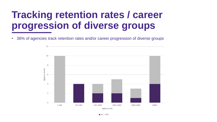## **Tracking retention rates / career progression of diverse groups**

• 36% of agencies track retention rates and/or career progression of diverse groups

12

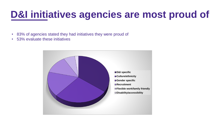## **D&I initiatives agencies are most proud of**

- 83% of agencies stated they had initiatives they were proud of
- 53% evaluate these initiatives

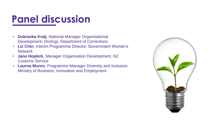# **Panel discussion**

- **Dubravka Kralj**, National Manager Organisational Development, (Acting), Department of Corrections
- **Liz Chin**, Interim Programme Director, Government Women's **Network**
- **Jane Hopkirk**, Manager Organisation Development, NZ Customs Service
- **Laurna Munro**, Programme Manager Diversity and Inclusion, Ministry of Business, Innovation and Employment

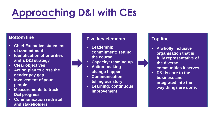# **Approaching D&I with CEs**

#### **Bottom line**

- **Chief Executive statement of commitment**
- **Identification of priorities and a D&I strategy**
- **Clear objectives**
- **Action plan to close the gender pay gap**
- **Involvement of your people**
- **Measurements to track D&I progress**
- **Communication with staff and stakeholders**

#### **Five key elements**

- **Leadership commitment: setting the course**
- **Capacity: teaming up**
- **Action: making change happen**
- **Communication: telling our story**
- **Learning: continuous improvement**

#### **Top line**

- **A wholly inclusive organisation that is fully representative of the diverse communities it serves.**
- **D&I is core to the business and integrated into the way things are done.**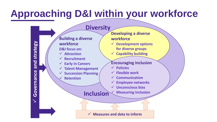# **Approaching D&I within your workforce**